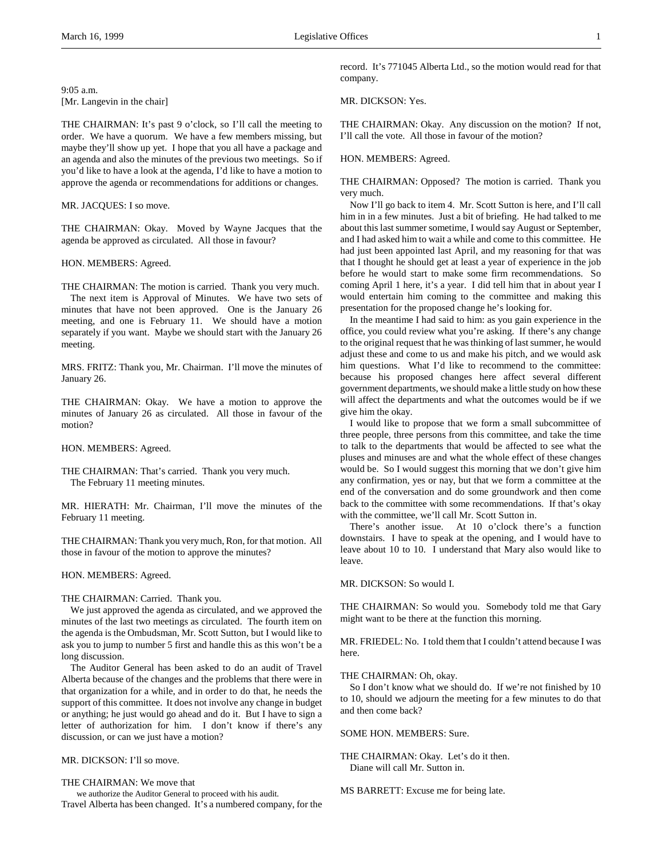9:05 a.m. [Mr. Langevin in the chair]

THE CHAIRMAN: It's past 9 o'clock, so I'll call the meeting to order. We have a quorum. We have a few members missing, but maybe they'll show up yet. I hope that you all have a package and an agenda and also the minutes of the previous two meetings. So if you'd like to have a look at the agenda, I'd like to have a motion to approve the agenda or recommendations for additions or changes.

MR. JACQUES: I so move.

THE CHAIRMAN: Okay. Moved by Wayne Jacques that the agenda be approved as circulated. All those in favour?

HON. MEMBERS: Agreed.

THE CHAIRMAN: The motion is carried. Thank you very much. The next item is Approval of Minutes. We have two sets of minutes that have not been approved. One is the January 26 meeting, and one is February 11. We should have a motion separately if you want. Maybe we should start with the January 26 meeting.

MRS. FRITZ: Thank you, Mr. Chairman. I'll move the minutes of January 26.

THE CHAIRMAN: Okay. We have a motion to approve the minutes of January 26 as circulated. All those in favour of the motion?

HON. MEMBERS: Agreed.

THE CHAIRMAN: That's carried. Thank you very much. The February 11 meeting minutes.

MR. HIERATH: Mr. Chairman, I'll move the minutes of the February 11 meeting.

THE CHAIRMAN: Thank you very much, Ron, for that motion. All those in favour of the motion to approve the minutes?

HON. MEMBERS: Agreed.

#### THE CHAIRMAN: Carried. Thank you.

We just approved the agenda as circulated, and we approved the minutes of the last two meetings as circulated. The fourth item on the agenda is the Ombudsman, Mr. Scott Sutton, but I would like to ask you to jump to number 5 first and handle this as this won't be a long discussion.

The Auditor General has been asked to do an audit of Travel Alberta because of the changes and the problems that there were in that organization for a while, and in order to do that, he needs the support of this committee. It does not involve any change in budget or anything; he just would go ahead and do it. But I have to sign a letter of authorization for him. I don't know if there's any discussion, or can we just have a motion?

MR. DICKSON: I'll so move.

### THE CHAIRMAN: We move that

we authorize the Auditor General to proceed with his audit. Travel Alberta has been changed. It's a numbered company, for the record. It's 771045 Alberta Ltd., so the motion would read for that company.

MR. DICKSON: Yes.

THE CHAIRMAN: Okay. Any discussion on the motion? If not, I'll call the vote. All those in favour of the motion?

#### HON. MEMBERS: Agreed.

THE CHAIRMAN: Opposed? The motion is carried. Thank you very much.

Now I'll go back to item 4. Mr. Scott Sutton is here, and I'll call him in in a few minutes. Just a bit of briefing. He had talked to me about this last summer sometime, I would say August or September, and I had asked him to wait a while and come to this committee. He had just been appointed last April, and my reasoning for that was that I thought he should get at least a year of experience in the job before he would start to make some firm recommendations. So coming April 1 here, it's a year. I did tell him that in about year I would entertain him coming to the committee and making this presentation for the proposed change he's looking for.

In the meantime I had said to him: as you gain experience in the office, you could review what you're asking. If there's any change to the original request that he was thinking of last summer, he would adjust these and come to us and make his pitch, and we would ask him questions. What I'd like to recommend to the committee: because his proposed changes here affect several different government departments, we should make a little study on how these will affect the departments and what the outcomes would be if we give him the okay.

I would like to propose that we form a small subcommittee of three people, three persons from this committee, and take the time to talk to the departments that would be affected to see what the pluses and minuses are and what the whole effect of these changes would be. So I would suggest this morning that we don't give him any confirmation, yes or nay, but that we form a committee at the end of the conversation and do some groundwork and then come back to the committee with some recommendations. If that's okay with the committee, we'll call Mr. Scott Sutton in.

There's another issue. At 10 o'clock there's a function downstairs. I have to speak at the opening, and I would have to leave about 10 to 10. I understand that Mary also would like to leave.

MR. DICKSON: So would I.

THE CHAIRMAN: So would you. Somebody told me that Gary might want to be there at the function this morning.

MR. FRIEDEL: No. I told them that I couldn't attend because I was here.

#### THE CHAIRMAN: Oh, okay.

So I don't know what we should do. If we're not finished by 10 to 10, should we adjourn the meeting for a few minutes to do that and then come back?

SOME HON. MEMBERS: Sure.

THE CHAIRMAN: Okay. Let's do it then. Diane will call Mr. Sutton in.

MS BARRETT: Excuse me for being late.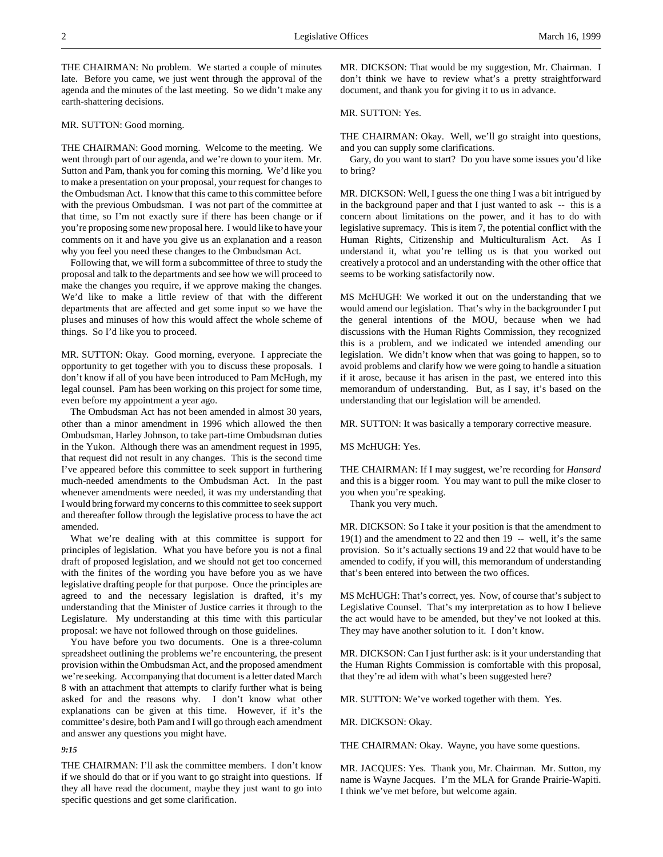THE CHAIRMAN: No problem. We started a couple of minutes late. Before you came, we just went through the approval of the agenda and the minutes of the last meeting. So we didn't make any earth-shattering decisions.

# MR. SUTTON: Good morning.

THE CHAIRMAN: Good morning. Welcome to the meeting. We went through part of our agenda, and we're down to your item. Mr. Sutton and Pam, thank you for coming this morning. We'd like you to make a presentation on your proposal, your request for changes to the Ombudsman Act. I know that this came to this committee before with the previous Ombudsman. I was not part of the committee at that time, so I'm not exactly sure if there has been change or if you're proposing some new proposal here. I would like to have your comments on it and have you give us an explanation and a reason why you feel you need these changes to the Ombudsman Act.

Following that, we will form a subcommittee of three to study the proposal and talk to the departments and see how we will proceed to make the changes you require, if we approve making the changes. We'd like to make a little review of that with the different departments that are affected and get some input so we have the pluses and minuses of how this would affect the whole scheme of things. So I'd like you to proceed.

MR. SUTTON: Okay. Good morning, everyone. I appreciate the opportunity to get together with you to discuss these proposals. I don't know if all of you have been introduced to Pam McHugh, my legal counsel. Pam has been working on this project for some time, even before my appointment a year ago.

The Ombudsman Act has not been amended in almost 30 years, other than a minor amendment in 1996 which allowed the then Ombudsman, Harley Johnson, to take part-time Ombudsman duties in the Yukon. Although there was an amendment request in 1995, that request did not result in any changes. This is the second time I've appeared before this committee to seek support in furthering much-needed amendments to the Ombudsman Act. In the past whenever amendments were needed, it was my understanding that I would bring forward my concerns to this committee to seek support and thereafter follow through the legislative process to have the act amended.

What we're dealing with at this committee is support for principles of legislation. What you have before you is not a final draft of proposed legislation, and we should not get too concerned with the finites of the wording you have before you as we have legislative drafting people for that purpose. Once the principles are agreed to and the necessary legislation is drafted, it's my understanding that the Minister of Justice carries it through to the Legislature. My understanding at this time with this particular proposal: we have not followed through on those guidelines.

You have before you two documents. One is a three-column spreadsheet outlining the problems we're encountering, the present provision within the Ombudsman Act, and the proposed amendment we're seeking. Accompanying that document is a letter dated March 8 with an attachment that attempts to clarify further what is being asked for and the reasons why. I don't know what other explanations can be given at this time. However, if it's the committee's desire, both Pam and I will go through each amendment and answer any questions you might have.

# *9:15*

THE CHAIRMAN: I'll ask the committee members. I don't know if we should do that or if you want to go straight into questions. If they all have read the document, maybe they just want to go into specific questions and get some clarification.

MR. DICKSON: That would be my suggestion, Mr. Chairman. I don't think we have to review what's a pretty straightforward document, and thank you for giving it to us in advance.

### MR. SUTTON: Yes.

THE CHAIRMAN: Okay. Well, we'll go straight into questions, and you can supply some clarifications.

Gary, do you want to start? Do you have some issues you'd like to bring?

MR. DICKSON: Well, I guess the one thing I was a bit intrigued by in the background paper and that I just wanted to ask -- this is a concern about limitations on the power, and it has to do with legislative supremacy. This is item 7, the potential conflict with the Human Rights, Citizenship and Multiculturalism Act. As I understand it, what you're telling us is that you worked out creatively a protocol and an understanding with the other office that seems to be working satisfactorily now.

MS McHUGH: We worked it out on the understanding that we would amend our legislation. That's why in the backgrounder I put the general intentions of the MOU, because when we had discussions with the Human Rights Commission, they recognized this is a problem, and we indicated we intended amending our legislation. We didn't know when that was going to happen, so to avoid problems and clarify how we were going to handle a situation if it arose, because it has arisen in the past, we entered into this memorandum of understanding. But, as I say, it's based on the understanding that our legislation will be amended.

MR. SUTTON: It was basically a temporary corrective measure.

### MS McHUGH: Yes.

THE CHAIRMAN: If I may suggest, we're recording for *Hansard* and this is a bigger room. You may want to pull the mike closer to you when you're speaking.

Thank you very much.

MR. DICKSON: So I take it your position is that the amendment to 19(1) and the amendment to 22 and then 19 -- well, it's the same provision. So it's actually sections 19 and 22 that would have to be amended to codify, if you will, this memorandum of understanding that's been entered into between the two offices.

MS McHUGH: That's correct, yes. Now, of course that's subject to Legislative Counsel. That's my interpretation as to how I believe the act would have to be amended, but they've not looked at this. They may have another solution to it. I don't know.

MR. DICKSON: Can I just further ask: is it your understanding that the Human Rights Commission is comfortable with this proposal, that they're ad idem with what's been suggested here?

MR. SUTTON: We've worked together with them. Yes.

MR. DICKSON: Okay.

THE CHAIRMAN: Okay. Wayne, you have some questions.

MR. JACQUES: Yes. Thank you, Mr. Chairman. Mr. Sutton, my name is Wayne Jacques. I'm the MLA for Grande Prairie-Wapiti. I think we've met before, but welcome again.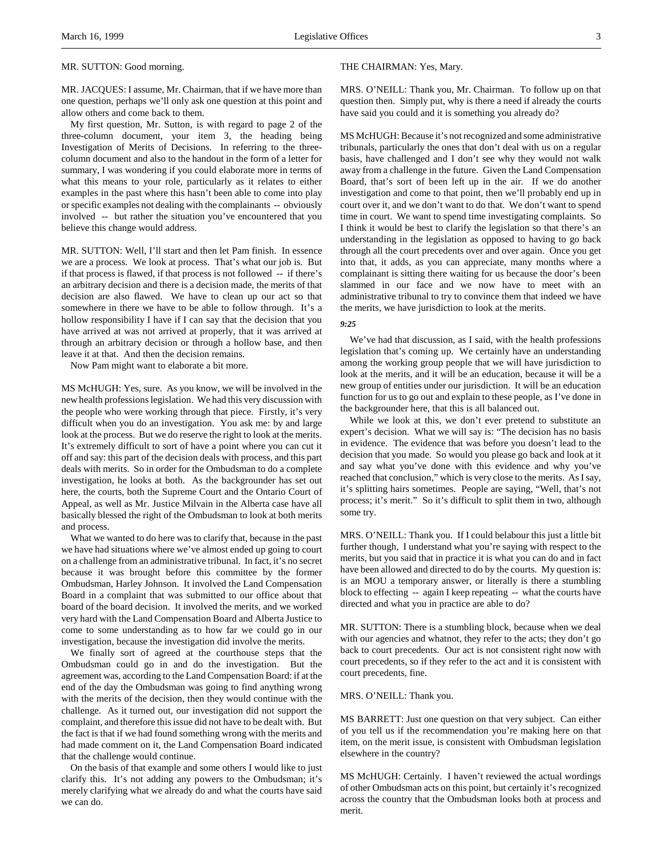# MR. SUTTON: Good morning.

MR. JACQUES: I assume, Mr. Chairman, that if we have more than one question, perhaps we'll only ask one question at this point and allow others and come back to them.

My first question, Mr. Sutton, is with regard to page 2 of the three-column document, your item 3, the heading being Investigation of Merits of Decisions. In referring to the threecolumn document and also to the handout in the form of a letter for summary, I was wondering if you could elaborate more in terms of what this means to your role, particularly as it relates to either examples in the past where this hasn't been able to come into play or specific examples not dealing with the complainants -- obviously involved -- but rather the situation you've encountered that you believe this change would address.

MR. SUTTON: Well, I'll start and then let Pam finish. In essence we are a process. We look at process. That's what our job is. But if that process is flawed, if that process is not followed -- if there's an arbitrary decision and there is a decision made, the merits of that decision are also flawed. We have to clean up our act so that somewhere in there we have to be able to follow through. It's a hollow responsibility I have if I can say that the decision that you have arrived at was not arrived at properly, that it was arrived at through an arbitrary decision or through a hollow base, and then leave it at that. And then the decision remains.

Now Pam might want to elaborate a bit more.

MS McHUGH: Yes, sure. As you know, we will be involved in the new health professions legislation. We had this very discussion with the people who were working through that piece. Firstly, it's very difficult when you do an investigation. You ask me: by and large look at the process. But we do reserve the right to look at the merits. It's extremely difficult to sort of have a point where you can cut it off and say: this part of the decision deals with process, and this part deals with merits. So in order for the Ombudsman to do a complete investigation, he looks at both. As the backgrounder has set out here, the courts, both the Supreme Court and the Ontario Court of Appeal, as well as Mr. Justice Milvain in the Alberta case have all basically blessed the right of the Ombudsman to look at both merits and process.

What we wanted to do here was to clarify that, because in the past we have had situations where we've almost ended up going to court on a challenge from an administrative tribunal. In fact, it's no secret because it was brought before this committee by the former Ombudsman, Harley Johnson. It involved the Land Compensation Board in a complaint that was submitted to our office about that board of the board decision. It involved the merits, and we worked very hard with the Land Compensation Board and Alberta Justice to come to some understanding as to how far we could go in our investigation, because the investigation did involve the merits.

We finally sort of agreed at the courthouse steps that the Ombudsman could go in and do the investigation. But the agreement was, according to the Land Compensation Board: if at the end of the day the Ombudsman was going to find anything wrong with the merits of the decision, then they would continue with the challenge. As it turned out, our investigation did not support the complaint, and therefore this issue did not have to be dealt with. But the fact is that if we had found something wrong with the merits and had made comment on it, the Land Compensation Board indicated that the challenge would continue.

On the basis of that example and some others I would like to just clarify this. It's not adding any powers to the Ombudsman; it's merely clarifying what we already do and what the courts have said we can do.

## THE CHAIRMAN: Yes, Mary.

MRS. O'NEILL: Thank you, Mr. Chairman. To follow up on that question then. Simply put, why is there a need if already the courts have said you could and it is something you already do?

MS McHUGH: Because it's not recognized and some administrative tribunals, particularly the ones that don't deal with us on a regular basis, have challenged and I don't see why they would not walk away from a challenge in the future. Given the Land Compensation Board, that's sort of been left up in the air. If we do another investigation and come to that point, then we'll probably end up in court over it, and we don't want to do that. We don't want to spend time in court. We want to spend time investigating complaints. So I think it would be best to clarify the legislation so that there's an understanding in the legislation as opposed to having to go back through all the court precedents over and over again. Once you get into that, it adds, as you can appreciate, many months where a complainant is sitting there waiting for us because the door's been slammed in our face and we now have to meet with an administrative tribunal to try to convince them that indeed we have the merits, we have jurisdiction to look at the merits.

### *9:25*

We've had that discussion, as I said, with the health professions legislation that's coming up. We certainly have an understanding among the working group people that we will have jurisdiction to look at the merits, and it will be an education, because it will be a new group of entities under our jurisdiction. It will be an education function for us to go out and explain to these people, as I've done in the backgrounder here, that this is all balanced out.

While we look at this, we don't ever pretend to substitute an expert's decision. What we will say is: "The decision has no basis in evidence. The evidence that was before you doesn't lead to the decision that you made. So would you please go back and look at it and say what you've done with this evidence and why you've reached that conclusion," which is very close to the merits. As I say, it's splitting hairs sometimes. People are saying, "Well, that's not process; it's merit." So it's difficult to split them in two, although some try.

MRS. O'NEILL: Thank you. If I could belabour this just a little bit further though, I understand what you're saying with respect to the merits, but you said that in practice it is what you can do and in fact have been allowed and directed to do by the courts. My question is: is an MOU a temporary answer, or literally is there a stumbling block to effecting -- again I keep repeating -- what the courts have directed and what you in practice are able to do?

MR. SUTTON: There is a stumbling block, because when we deal with our agencies and whatnot, they refer to the acts; they don't go back to court precedents. Our act is not consistent right now with court precedents, so if they refer to the act and it is consistent with court precedents, fine.

# MRS. O'NEILL: Thank you.

MS BARRETT: Just one question on that very subject. Can either of you tell us if the recommendation you're making here on that item, on the merit issue, is consistent with Ombudsman legislation elsewhere in the country?

MS McHUGH: Certainly. I haven't reviewed the actual wordings of other Ombudsman acts on this point, but certainly it's recognized across the country that the Ombudsman looks both at process and merit.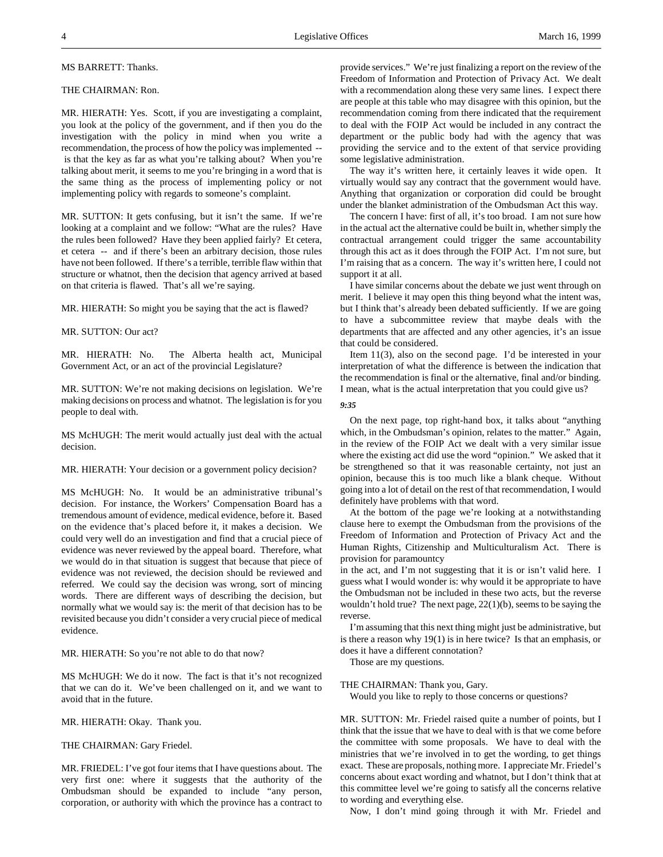### MS BARRETT: Thanks.

# THE CHAIRMAN: Ron.

MR. HIERATH: Yes. Scott, if you are investigating a complaint, you look at the policy of the government, and if then you do the investigation with the policy in mind when you write a recommendation, the process of how the policy was implemented - is that the key as far as what you're talking about? When you're talking about merit, it seems to me you're bringing in a word that is the same thing as the process of implementing policy or not implementing policy with regards to someone's complaint.

MR. SUTTON: It gets confusing, but it isn't the same. If we're looking at a complaint and we follow: "What are the rules? Have the rules been followed? Have they been applied fairly? Et cetera, et cetera -- and if there's been an arbitrary decision, those rules have not been followed. If there's a terrible, terrible flaw within that structure or whatnot, then the decision that agency arrived at based on that criteria is flawed. That's all we're saying.

MR. HIERATH: So might you be saying that the act is flawed?

MR. SUTTON: Our act?

MR. HIERATH: No. The Alberta health act, Municipal Government Act, or an act of the provincial Legislature?

MR. SUTTON: We're not making decisions on legislation. We're making decisions on process and whatnot. The legislation is for you people to deal with.

MS McHUGH: The merit would actually just deal with the actual decision.

MR. HIERATH: Your decision or a government policy decision?

MS McHUGH: No. It would be an administrative tribunal's decision. For instance, the Workers' Compensation Board has a tremendous amount of evidence, medical evidence, before it. Based on the evidence that's placed before it, it makes a decision. We could very well do an investigation and find that a crucial piece of evidence was never reviewed by the appeal board. Therefore, what we would do in that situation is suggest that because that piece of evidence was not reviewed, the decision should be reviewed and referred. We could say the decision was wrong, sort of mincing words. There are different ways of describing the decision, but normally what we would say is: the merit of that decision has to be revisited because you didn't consider a very crucial piece of medical evidence.

MR. HIERATH: So you're not able to do that now?

MS McHUGH: We do it now. The fact is that it's not recognized that we can do it. We've been challenged on it, and we want to avoid that in the future.

MR. HIERATH: Okay. Thank you.

THE CHAIRMAN: Gary Friedel.

MR. FRIEDEL: I've got four items that I have questions about. The very first one: where it suggests that the authority of the Ombudsman should be expanded to include "any person, corporation, or authority with which the province has a contract to

provide services." We're just finalizing a report on the review of the Freedom of Information and Protection of Privacy Act. We dealt with a recommendation along these very same lines. I expect there are people at this table who may disagree with this opinion, but the recommendation coming from there indicated that the requirement to deal with the FOIP Act would be included in any contract the department or the public body had with the agency that was providing the service and to the extent of that service providing some legislative administration.

The way it's written here, it certainly leaves it wide open. It virtually would say any contract that the government would have. Anything that organization or corporation did could be brought under the blanket administration of the Ombudsman Act this way.

The concern I have: first of all, it's too broad. I am not sure how in the actual act the alternative could be built in, whether simply the contractual arrangement could trigger the same accountability through this act as it does through the FOIP Act. I'm not sure, but I'm raising that as a concern. The way it's written here, I could not support it at all.

I have similar concerns about the debate we just went through on merit. I believe it may open this thing beyond what the intent was, but I think that's already been debated sufficiently. If we are going to have a subcommittee review that maybe deals with the departments that are affected and any other agencies, it's an issue that could be considered.

Item 11(3), also on the second page. I'd be interested in your interpretation of what the difference is between the indication that the recommendation is final or the alternative, final and/or binding. I mean, what is the actual interpretation that you could give us?

*9:35*

On the next page, top right-hand box, it talks about "anything which, in the Ombudsman's opinion, relates to the matter." Again, in the review of the FOIP Act we dealt with a very similar issue where the existing act did use the word "opinion." We asked that it be strengthened so that it was reasonable certainty, not just an opinion, because this is too much like a blank cheque. Without going into a lot of detail on the rest of that recommendation, I would definitely have problems with that word.

At the bottom of the page we're looking at a notwithstanding clause here to exempt the Ombudsman from the provisions of the Freedom of Information and Protection of Privacy Act and the Human Rights, Citizenship and Multiculturalism Act. There is provision for paramountcy

in the act, and I'm not suggesting that it is or isn't valid here. I guess what I would wonder is: why would it be appropriate to have the Ombudsman not be included in these two acts, but the reverse wouldn't hold true? The next page, 22(1)(b), seems to be saying the reverse.

I'm assuming that this next thing might just be administrative, but is there a reason why 19(1) is in here twice? Is that an emphasis, or does it have a different connotation?

Those are my questions.

THE CHAIRMAN: Thank you, Gary.

Would you like to reply to those concerns or questions?

MR. SUTTON: Mr. Friedel raised quite a number of points, but I think that the issue that we have to deal with is that we come before the committee with some proposals. We have to deal with the ministries that we're involved in to get the wording, to get things exact. These are proposals, nothing more. I appreciate Mr. Friedel's concerns about exact wording and whatnot, but I don't think that at this committee level we're going to satisfy all the concerns relative to wording and everything else.

Now, I don't mind going through it with Mr. Friedel and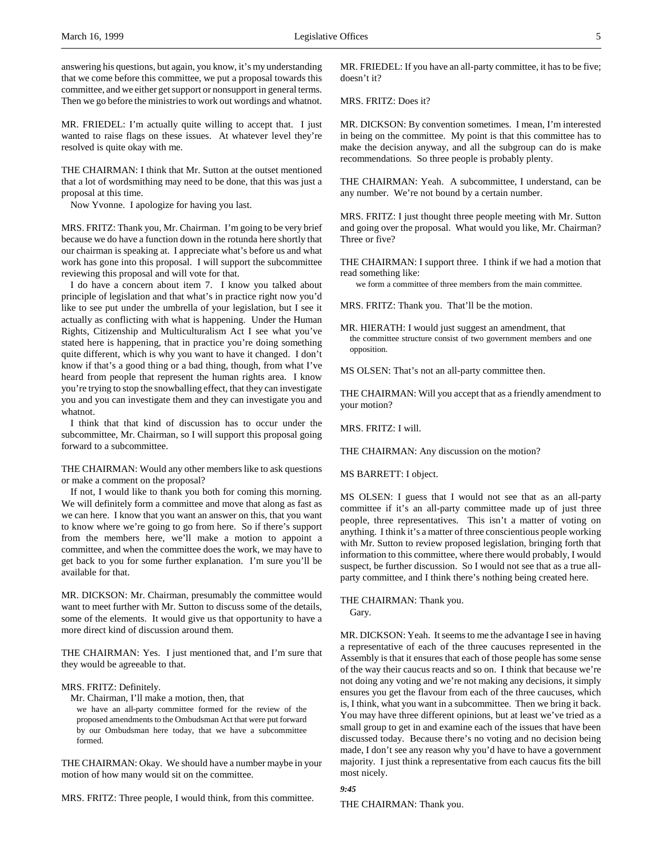answering his questions, but again, you know, it's my understanding that we come before this committee, we put a proposal towards this committee, and we either get support or nonsupport in general terms. Then we go before the ministries to work out wordings and whatnot.

MR. FRIEDEL: I'm actually quite willing to accept that. I just wanted to raise flags on these issues. At whatever level they're resolved is quite okay with me.

THE CHAIRMAN: I think that Mr. Sutton at the outset mentioned that a lot of wordsmithing may need to be done, that this was just a proposal at this time.

Now Yvonne. I apologize for having you last.

MRS. FRITZ: Thank you, Mr. Chairman. I'm going to be very brief because we do have a function down in the rotunda here shortly that our chairman is speaking at. I appreciate what's before us and what work has gone into this proposal. I will support the subcommittee reviewing this proposal and will vote for that.

I do have a concern about item 7. I know you talked about principle of legislation and that what's in practice right now you'd like to see put under the umbrella of your legislation, but I see it actually as conflicting with what is happening. Under the Human Rights, Citizenship and Multiculturalism Act I see what you've stated here is happening, that in practice you're doing something quite different, which is why you want to have it changed. I don't know if that's a good thing or a bad thing, though, from what I've heard from people that represent the human rights area. I know you're trying to stop the snowballing effect, that they can investigate you and you can investigate them and they can investigate you and whatnot.

I think that that kind of discussion has to occur under the subcommittee, Mr. Chairman, so I will support this proposal going forward to a subcommittee.

THE CHAIRMAN: Would any other members like to ask questions or make a comment on the proposal?

If not, I would like to thank you both for coming this morning. We will definitely form a committee and move that along as fast as we can here. I know that you want an answer on this, that you want to know where we're going to go from here. So if there's support from the members here, we'll make a motion to appoint a committee, and when the committee does the work, we may have to get back to you for some further explanation. I'm sure you'll be available for that.

MR. DICKSON: Mr. Chairman, presumably the committee would want to meet further with Mr. Sutton to discuss some of the details, some of the elements. It would give us that opportunity to have a more direct kind of discussion around them.

THE CHAIRMAN: Yes. I just mentioned that, and I'm sure that they would be agreeable to that.

#### MRS. FRITZ: Definitely.

Mr. Chairman, I'll make a motion, then, that

we have an all-party committee formed for the review of the proposed amendments to the Ombudsman Act that were put forward by our Ombudsman here today, that we have a subcommittee formed.

THE CHAIRMAN: Okay. We should have a number maybe in your motion of how many would sit on the committee.

MRS. FRITZ: Three people, I would think, from this committee.

MR. FRIEDEL: If you have an all-party committee, it has to be five; doesn't it?

MRS. FRITZ: Does it?

MR. DICKSON: By convention sometimes. I mean, I'm interested in being on the committee. My point is that this committee has to make the decision anyway, and all the subgroup can do is make recommendations. So three people is probably plenty.

THE CHAIRMAN: Yeah. A subcommittee, I understand, can be any number. We're not bound by a certain number.

MRS. FRITZ: I just thought three people meeting with Mr. Sutton and going over the proposal. What would you like, Mr. Chairman? Three or five?

THE CHAIRMAN: I support three. I think if we had a motion that read something like:

we form a committee of three members from the main committee.

MRS. FRITZ: Thank you. That'll be the motion.

MR. HIERATH: I would just suggest an amendment, that the committee structure consist of two government members and one opposition.

MS OLSEN: That's not an all-party committee then.

THE CHAIRMAN: Will you accept that as a friendly amendment to your motion?

MRS. FRITZ: I will.

THE CHAIRMAN: Any discussion on the motion?

MS BARRETT: I object.

MS OLSEN: I guess that I would not see that as an all-party committee if it's an all-party committee made up of just three people, three representatives. This isn't a matter of voting on anything. I think it's a matter of three conscientious people working with Mr. Sutton to review proposed legislation, bringing forth that information to this committee, where there would probably, I would suspect, be further discussion. So I would not see that as a true allparty committee, and I think there's nothing being created here.

THE CHAIRMAN: Thank you.

Gary.

MR. DICKSON: Yeah. It seems to me the advantage I see in having a representative of each of the three caucuses represented in the Assembly is that it ensures that each of those people has some sense of the way their caucus reacts and so on. I think that because we're not doing any voting and we're not making any decisions, it simply ensures you get the flavour from each of the three caucuses, which is, I think, what you want in a subcommittee. Then we bring it back. You may have three different opinions, but at least we've tried as a small group to get in and examine each of the issues that have been discussed today. Because there's no voting and no decision being made, I don't see any reason why you'd have to have a government majority. I just think a representative from each caucus fits the bill most nicely.

# *9:45*

THE CHAIRMAN: Thank you.